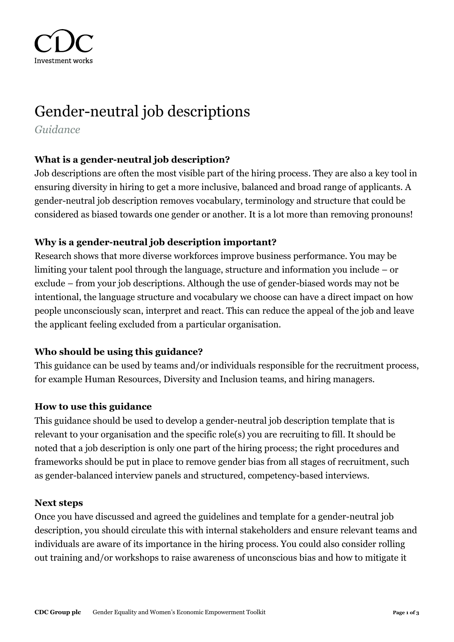

# Gender-neutral job descriptions

*Guidance*

## **What is a gender-neutral job description?**

Job descriptions are often the most visible part of the hiring process. They are also a key tool in ensuring diversity in hiring to get a more inclusive, balanced and broad range of applicants. A gender-neutral job description removes vocabulary, terminology and structure that could be considered as biased towards one gender or another. It is a lot more than removing pronouns!

# **Why is a gender-neutral job description important?**

Research shows that more diverse workforces improve business performance. You may be limiting your talent pool through the language, structure and information you include – or exclude – from your job descriptions. Although the use of gender-biased words may not be intentional, the language structure and vocabulary we choose can have a direct impact on how people unconsciously scan, interpret and react. This can reduce the appeal of the job and leave the applicant feeling excluded from a particular organisation.

## **Who should be using this guidance?**

This guidance can be used by teams and/or individuals responsible for the recruitment process, for example Human Resources, Diversity and Inclusion teams, and hiring managers.

## **How to use this guidance**

This guidance should be used to develop a gender-neutral job description template that is relevant to your organisation and the specific role(s) you are recruiting to fill. It should be noted that a job description is only one part of the hiring process; the right procedures and frameworks should be put in place to remove gender bias from all stages of recruitment, such as gender-balanced interview panels and structured, competency-based interviews.

#### **Next steps**

Once you have discussed and agreed the guidelines and template for a gender-neutral job description, you should circulate this with internal stakeholders and ensure relevant teams and individuals are aware of its importance in the hiring process. You could also consider rolling out training and/or workshops to raise awareness of unconscious bias and how to mitigate it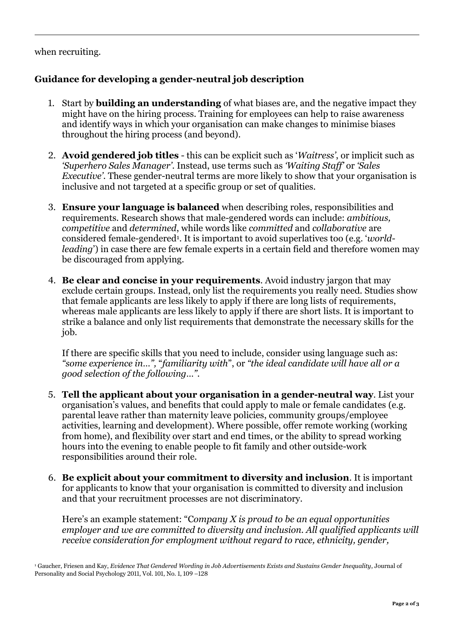#### when recruiting.

# **Guidance for developing a gender-neutral job description**

- 1. Start by **building an understanding** of what biases are, and the negative impact they might have on the hiring process. Training for employees can help to raise awareness and identify ways in which your organisation can make changes to minimise biases throughout the hiring process (and beyond).
- 2. **Avoid gendered job titles** this can be explicit such as '*Waitress'*, or implicit such as *'Superhero Sales Manager'*. Instead, use terms such as *'Waiting Staff'* or *'Sales Executive'*. These gender-neutral terms are more likely to show that your organisation is inclusive and not targeted at a specific group or set of qualities.
- 3. **Ensure your language is balanced** when describing roles, responsibilities and requirements. Research shows that male-gendered words can include: *ambitious, competitive* and *determined*, while words like *committed* and *collaborative* are considered female-gendered<sup>1</sup> . It is important to avoid superlatives too (e.g. '*worldleading*') in case there are few female experts in a certain field and therefore women may be discouraged from applying.
- 4. **Be clear and concise in your requirements**. Avoid industry jargon that may exclude certain groups. Instead, only list the requirements you really need. Studies show that female applicants are less likely to apply if there are long lists of requirements, whereas male applicants are less likely to apply if there are short lists. It is important to strike a balance and only list requirements that demonstrate the necessary skills for the job.

If there are specific skills that you need to include, consider using language such as: *"some experience in…",* "*familiarity with*", or *"the ideal candidate will have all or a good selection of the following…"*.

- 5. **Tell the applicant about your organisation in a gender-neutral way**. List your organisation's values, and benefits that could apply to male or female candidates (e.g. parental leave rather than maternity leave policies, community groups/employee activities, learning and development). Where possible, offer remote working (working from home), and flexibility over start and end times, or the ability to spread working hours into the evening to enable people to fit family and other outside-work responsibilities around their role.
- 6. **Be explicit about your commitment to diversity and inclusion**. It is important for applicants to know that your organisation is committed to diversity and inclusion and that your recruitment processes are not discriminatory.

Here's an example statement: "C*ompany X is proud to be an equal opportunities employer and we are committed to diversity and inclusion. All qualified applicants will receive consideration for employment without regard to race, ethnicity, gender,* 

<sup>1</sup> Gaucher, Friesen and Kay, *Evidence That Gendered Wording in Job Advertisements Exists and Sustains Gender Inequality*, Journal of Personality and Social Psychology 2011, Vol. 101, No. 1, 109 –128